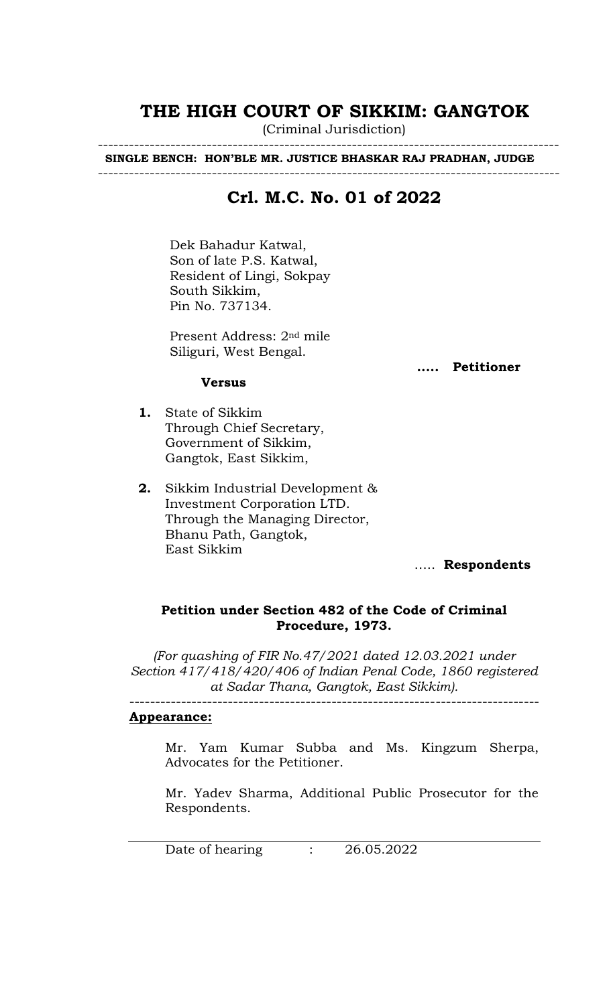## **THE HIGH COURT OF SIKKIM: GANGTOK**

(Criminal Jurisdiction) -----------------------------------------------------------------------------------------

 **SINGLE BENCH: HON'BLE MR. JUSTICE BHASKAR RAJ PRADHAN, JUDGE**

-----------------------------------------------------------------------------------------

## **Crl. M.C. No. 01 of 2022**

Dek Bahadur Katwal, Son of late P.S. Katwal, Resident of Lingi, Sokpay South Sikkim, Pin No. 737134.

Present Address: 2nd mile Siliguri, West Bengal.

**..... Petitioner**

#### **Versus**

- **1.** State of Sikkim Through Chief Secretary, Government of Sikkim, Gangtok, East Sikkim,
- **2.** Sikkim Industrial Development & Investment Corporation LTD. Through the Managing Director, Bhanu Path, Gangtok, East Sikkim

….. **Respondents**

#### **Petition under Section 482 of the Code of Criminal Procedure, 1973.**

*(For quashing of FIR No.47/2021 dated 12.03.2021 under Section 417/418/420/406 of Indian Penal Code, 1860 registered at Sadar Thana, Gangtok, East Sikkim).*

-------------------------------------------------------------------------------

#### **Appearance:**

Mr. Yam Kumar Subba and Ms. Kingzum Sherpa, Advocates for the Petitioner.

Mr. Yadev Sharma, Additional Public Prosecutor for the Respondents.

Date of hearing : 26.05.2022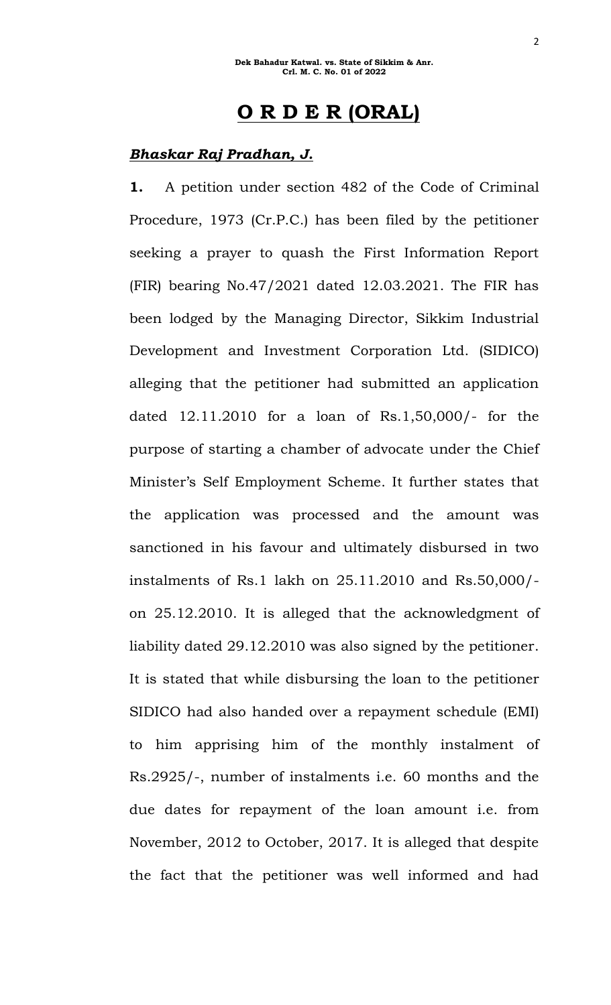# **O R D E R (ORAL)**

#### *Bhaskar Raj Pradhan, J.*

**1.** A petition under section 482 of the Code of Criminal Procedure, 1973 (Cr.P.C.) has been filed by the petitioner seeking a prayer to quash the First Information Report (FIR) bearing No.47/2021 dated 12.03.2021. The FIR has been lodged by the Managing Director, Sikkim Industrial Development and Investment Corporation Ltd. (SIDICO) alleging that the petitioner had submitted an application dated 12.11.2010 for a loan of Rs.1,50,000/- for the purpose of starting a chamber of advocate under the Chief Minister's Self Employment Scheme. It further states that the application was processed and the amount was sanctioned in his favour and ultimately disbursed in two instalments of Rs.1 lakh on 25.11.2010 and Rs.50,000/ on 25.12.2010. It is alleged that the acknowledgment of liability dated 29.12.2010 was also signed by the petitioner. It is stated that while disbursing the loan to the petitioner SIDICO had also handed over a repayment schedule (EMI) to him apprising him of the monthly instalment of Rs.2925/-, number of instalments i.e. 60 months and the due dates for repayment of the loan amount i.e. from November, 2012 to October, 2017. It is alleged that despite the fact that the petitioner was well informed and had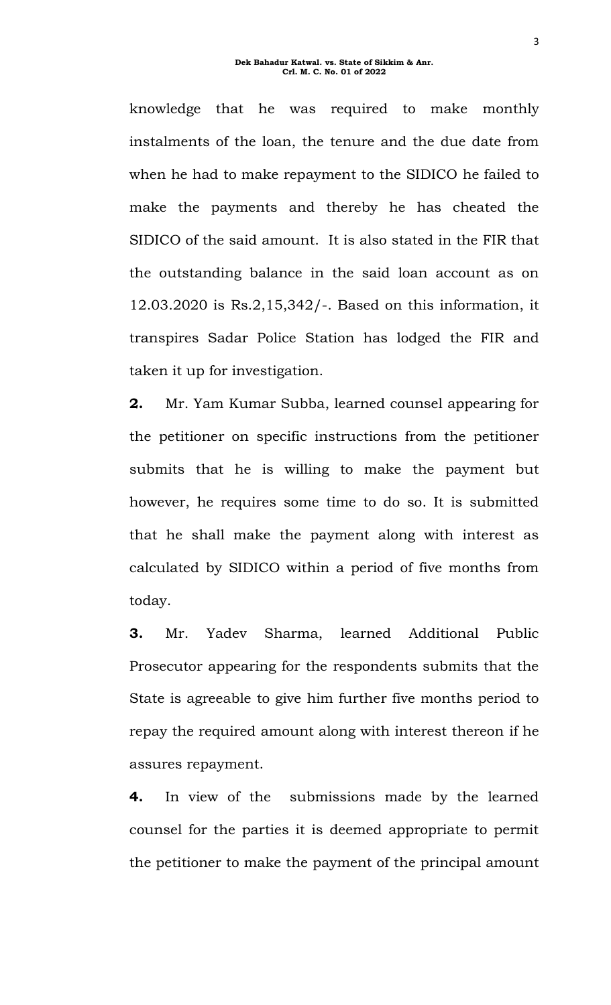knowledge that he was required to make monthly instalments of the loan, the tenure and the due date from when he had to make repayment to the SIDICO he failed to make the payments and thereby he has cheated the SIDICO of the said amount. It is also stated in the FIR that the outstanding balance in the said loan account as on 12.03.2020 is Rs.2,15,342/-. Based on this information, it transpires Sadar Police Station has lodged the FIR and taken it up for investigation.

**2.** Mr. Yam Kumar Subba, learned counsel appearing for the petitioner on specific instructions from the petitioner submits that he is willing to make the payment but however, he requires some time to do so. It is submitted that he shall make the payment along with interest as calculated by SIDICO within a period of five months from today.

**3.** Mr. Yadev Sharma, learned Additional Public Prosecutor appearing for the respondents submits that the State is agreeable to give him further five months period to repay the required amount along with interest thereon if he assures repayment.

**4.** In view of the submissions made by the learned counsel for the parties it is deemed appropriate to permit the petitioner to make the payment of the principal amount